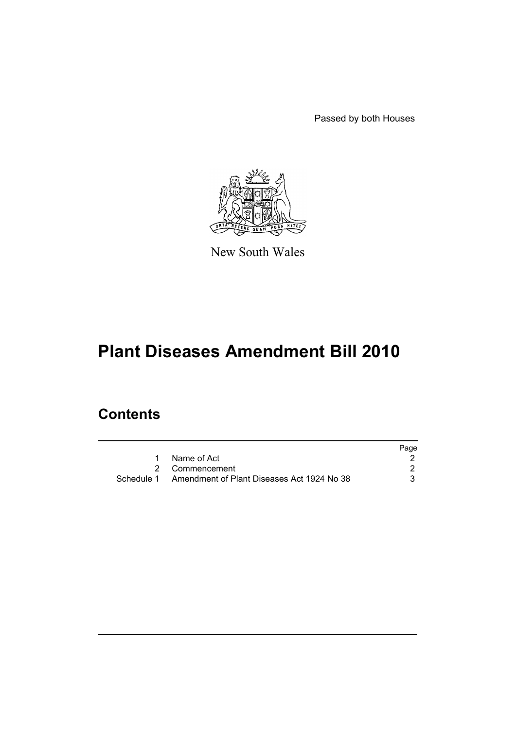Passed by both Houses



New South Wales

# **Plant Diseases Amendment Bill 2010**

# **Contents**

|                                                       | Page |
|-------------------------------------------------------|------|
| Name of Act                                           |      |
| 2 Commencement                                        |      |
| Schedule 1 Amendment of Plant Diseases Act 1924 No 38 |      |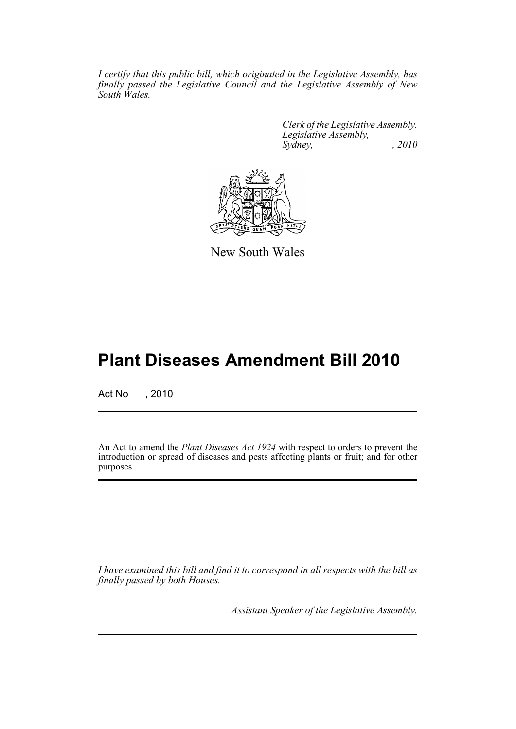*I certify that this public bill, which originated in the Legislative Assembly, has finally passed the Legislative Council and the Legislative Assembly of New South Wales.*

> *Clerk of the Legislative Assembly. Legislative Assembly, Sydney,* , 2010



New South Wales

# **Plant Diseases Amendment Bill 2010**

Act No , 2010

An Act to amend the *Plant Diseases Act 1924* with respect to orders to prevent the introduction or spread of diseases and pests affecting plants or fruit; and for other purposes.

*I have examined this bill and find it to correspond in all respects with the bill as finally passed by both Houses.*

*Assistant Speaker of the Legislative Assembly.*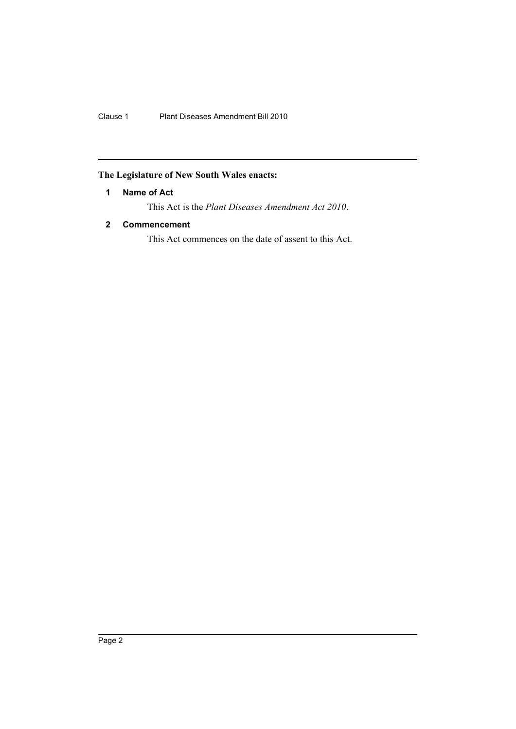## <span id="page-2-0"></span>**The Legislature of New South Wales enacts:**

## **1 Name of Act**

This Act is the *Plant Diseases Amendment Act 2010*.

## <span id="page-2-1"></span>**2 Commencement**

This Act commences on the date of assent to this Act.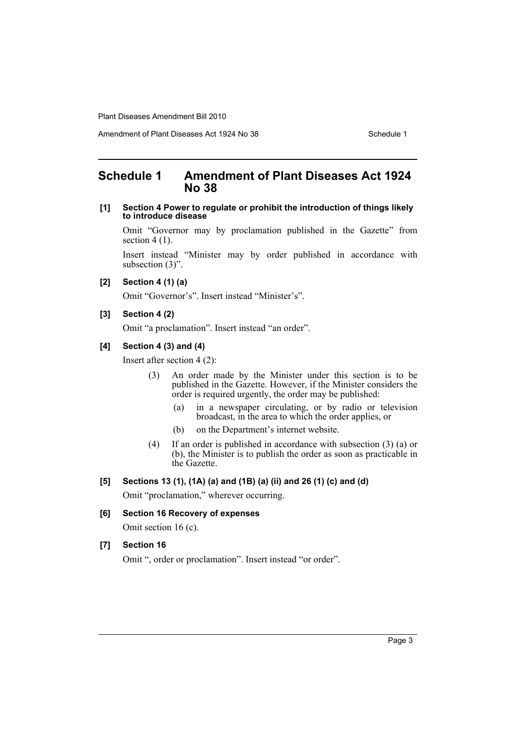Amendment of Plant Diseases Act 1924 No 38 Schedule 1

## <span id="page-3-0"></span>**Schedule 1 Amendment of Plant Diseases Act 1924 No 38**

#### **[1] Section 4 Power to regulate or prohibit the introduction of things likely to introduce disease**

Omit "Governor may by proclamation published in the Gazette" from section  $4(1)$ .

Insert instead "Minister may by order published in accordance with subsection  $(3)$ ".

#### **[2] Section 4 (1) (a)**

Omit "Governor's". Insert instead "Minister's".

#### **[3] Section 4 (2)**

Omit "a proclamation". Insert instead "an order".

#### **[4] Section 4 (3) and (4)**

Insert after section 4 (2):

- (3) An order made by the Minister under this section is to be published in the Gazette. However, if the Minister considers the order is required urgently, the order may be published:
	- (a) in a newspaper circulating, or by radio or television broadcast, in the area to which the order applies, or
	- (b) on the Department's internet website.
- (4) If an order is published in accordance with subsection (3) (a) or (b), the Minister is to publish the order as soon as practicable in the Gazette.

#### **[5] Sections 13 (1), (1A) (a) and (1B) (a) (ii) and 26 (1) (c) and (d)**

Omit "proclamation," wherever occurring.

#### **[6] Section 16 Recovery of expenses**

Omit section 16 (c).

## **[7] Section 16**

Omit ", order or proclamation". Insert instead "or order".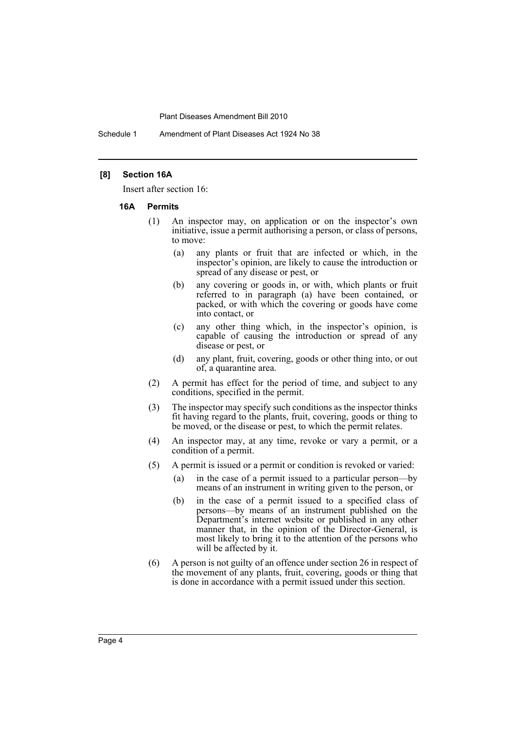Schedule 1 Amendment of Plant Diseases Act 1924 No 38

#### **[8] Section 16A**

Insert after section 16:

#### **16A Permits**

- (1) An inspector may, on application or on the inspector's own initiative, issue a permit authorising a person, or class of persons, to move:
	- (a) any plants or fruit that are infected or which, in the inspector's opinion, are likely to cause the introduction or spread of any disease or pest, or
	- (b) any covering or goods in, or with, which plants or fruit referred to in paragraph (a) have been contained, or packed, or with which the covering or goods have come into contact, or
	- (c) any other thing which, in the inspector's opinion, is capable of causing the introduction or spread of any disease or pest, or
	- (d) any plant, fruit, covering, goods or other thing into, or out of, a quarantine area.
- (2) A permit has effect for the period of time, and subject to any conditions, specified in the permit.
- (3) The inspector may specify such conditions as the inspector thinks fit having regard to the plants, fruit, covering, goods or thing to be moved, or the disease or pest, to which the permit relates.
- (4) An inspector may, at any time, revoke or vary a permit, or a condition of a permit.
- (5) A permit is issued or a permit or condition is revoked or varied:
	- (a) in the case of a permit issued to a particular person—by means of an instrument in writing given to the person, or
	- (b) in the case of a permit issued to a specified class of persons—by means of an instrument published on the Department's internet website or published in any other manner that, in the opinion of the Director-General, is most likely to bring it to the attention of the persons who will be affected by it.
- (6) A person is not guilty of an offence under section 26 in respect of the movement of any plants, fruit, covering, goods or thing that is done in accordance with a permit issued under this section.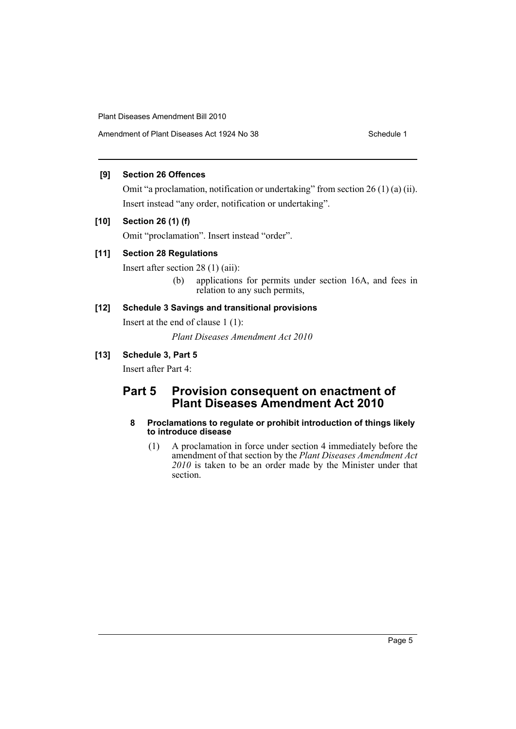Amendment of Plant Diseases Act 1924 No 38 Schedule 1

## **[9] Section 26 Offences**

Omit "a proclamation, notification or undertaking" from section 26 (1) (a) (ii). Insert instead "any order, notification or undertaking".

## **[10] Section 26 (1) (f)**

Omit "proclamation". Insert instead "order".

## **[11] Section 28 Regulations**

Insert after section 28 (1) (aii):

(b) applications for permits under section 16A, and fees in relation to any such permits,

## **[12] Schedule 3 Savings and transitional provisions**

Insert at the end of clause 1 (1):

*Plant Diseases Amendment Act 2010*

## **[13] Schedule 3, Part 5**

Insert after Part 4:

## **Part 5 Provision consequent on enactment of Plant Diseases Amendment Act 2010**

#### **8 Proclamations to regulate or prohibit introduction of things likely to introduce disease**

(1) A proclamation in force under section 4 immediately before the amendment of that section by the *Plant Diseases Amendment Act 2010* is taken to be an order made by the Minister under that section.